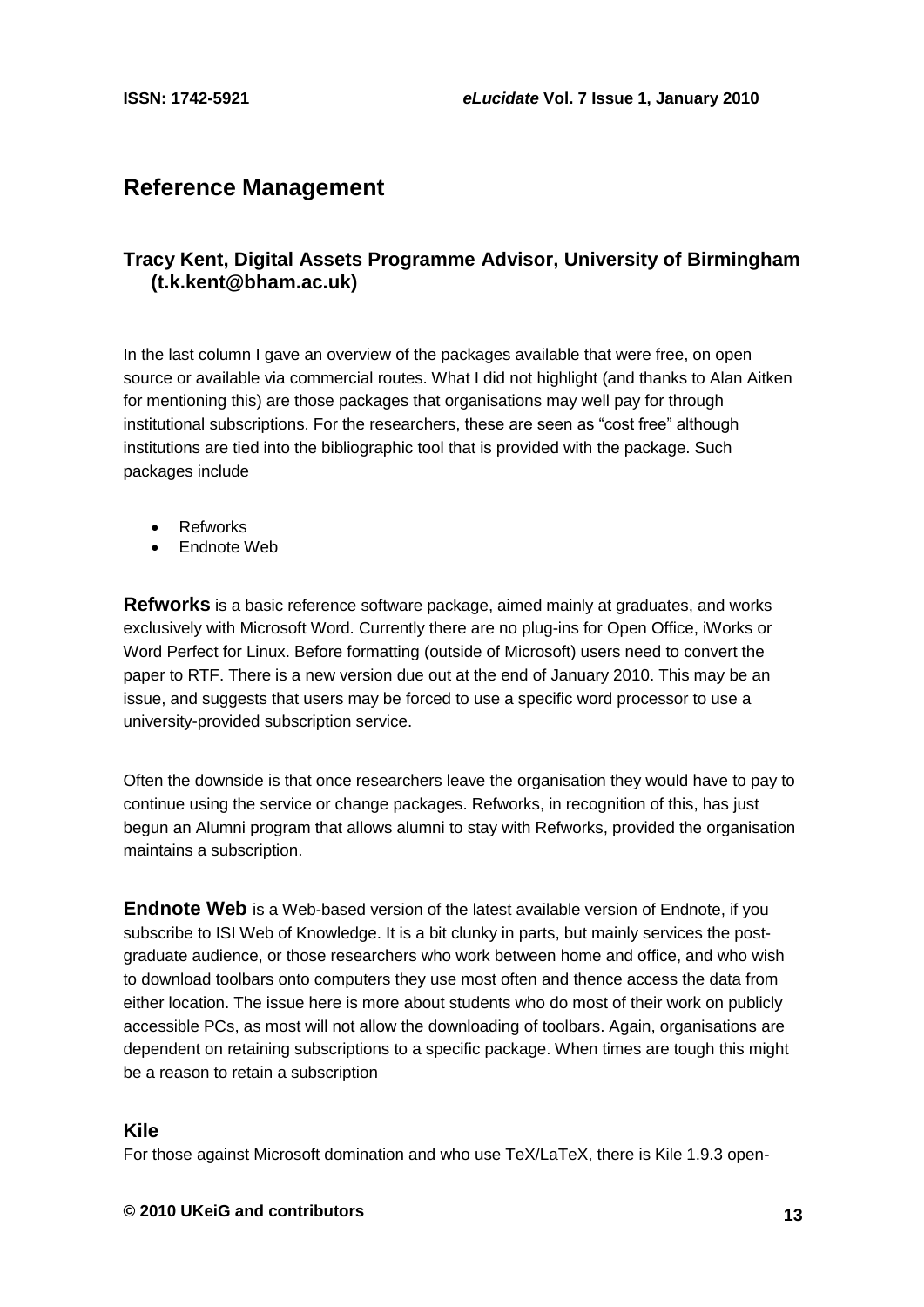# **Reference Management**

## **Tracy Kent, Digital Assets Programme Advisor, University of Birmingham [\(t.k.kent@bham.ac.uk\)](mailto:t.k.kent@bham.ac.uk)**

In the last column I gave an overview of the packages available that were free, on open source or available via commercial routes. What I did not highlight (and thanks to Alan Aitken for mentioning this) are those packages that organisations may well pay for through institutional subscriptions. For the researchers, these are seen as "cost free" although institutions are tied into the bibliographic tool that is provided with the package. Such packages include

- Refworks
- Endnote Web

**Refworks** is a basic reference software package, aimed mainly at graduates, and works exclusively with Microsoft Word. Currently there are no plug-ins for Open Office, iWorks or Word Perfect for Linux. Before formatting (outside of Microsoft) users need to convert the paper to RTF. There is a new version due out at the end of January 2010. This may be an issue, and suggests that users may be forced to use a specific word processor to use a university-provided subscription service.

Often the downside is that once researchers leave the organisation they would have to pay to continue using the service or change packages. Refworks, in recognition of this, has just begun an Alumni program that allows alumni to stay with Refworks, provided the organisation maintains a subscription.

**Endnote Web** is a Web-based version of the latest available version of Endnote, if you subscribe to ISI Web of Knowledge. It is a bit clunky in parts, but mainly services the postgraduate audience, or those researchers who work between home and office, and who wish to download toolbars onto computers they use most often and thence access the data from either location. The issue here is more about students who do most of their work on publicly accessible PCs, as most will not allow the downloading of toolbars. Again, organisations are dependent on retaining subscriptions to a specific package. When times are tough this might be a reason to retain a subscription

#### **Kile**

For those against Microsoft domination and who use TeX/LaTeX, there is Kile 1.9.3 open-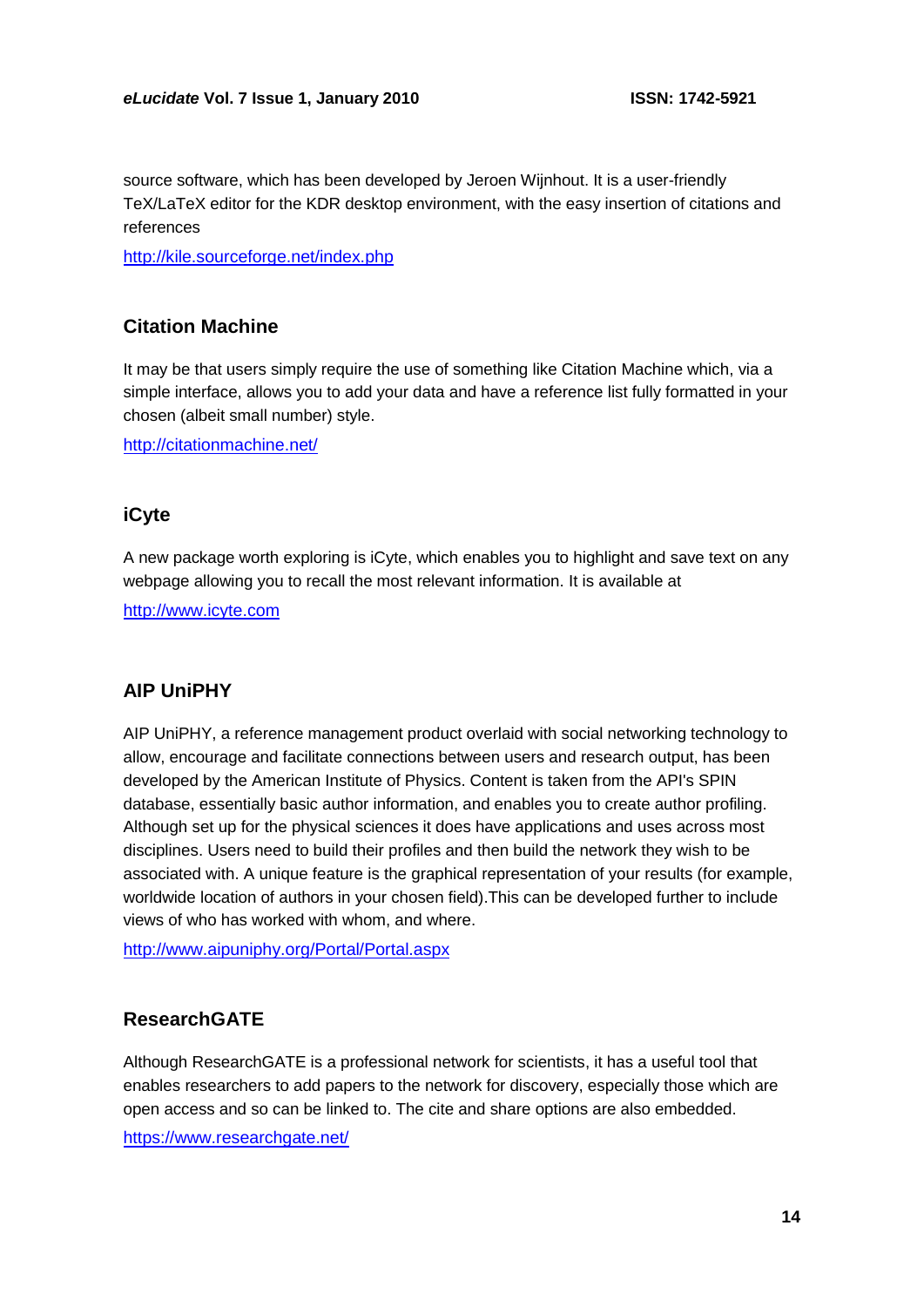source software, which has been developed by Jeroen Wijnhout. It is a user-friendly TeX/LaTeX editor for the KDR desktop environment, with the easy insertion of citations and references

<http://kile.sourceforge.net/index.php>

## **Citation Machine**

It may be that users simply require the use of something like Citation Machine which, via a simple interface, allows you to add your data and have a reference list fully formatted in your chosen (albeit small number) style.

<http://citationmachine.net/>

## **iCyte**

A new package worth exploring is iCyte, which enables you to highlight and save text on any webpage allowing you to recall the most relevant information. It is available at

[http://www.icyte.com](http://www.icyte.com/)

#### **AIP UniPHY**

AIP UniPHY, a reference management product overlaid with social networking technology to allow, encourage and facilitate connections between users and research output, has been developed by the American Institute of Physics. Content is taken from the API's SPIN database, essentially basic author information, and enables you to create author profiling. Although set up for the physical sciences it does have applications and uses across most disciplines. Users need to build their profiles and then build the network they wish to be associated with. A unique feature is the graphical representation of your results (for example, worldwide location of authors in your chosen field).This can be developed further to include views of who has worked with whom, and where.

<http://www.aipuniphy.org/Portal/Portal.aspx>

### **ResearchGATE**

Although ResearchGATE is a professional network for scientists, it has a useful tool that enables researchers to add papers to the network for discovery, especially those which are open access and so can be linked to. The cite and share options are also embedded.

<https://www.researchgate.net/>